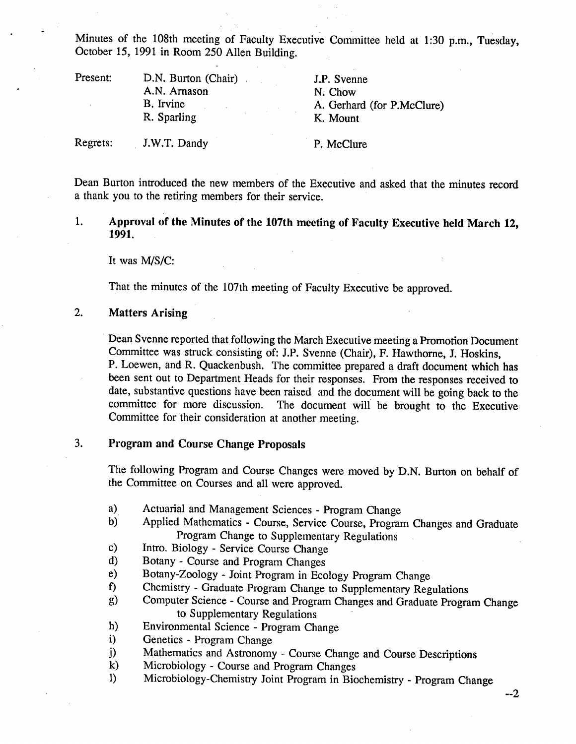Minutes of the 108th meeting of Faculty Executive Committee held at 1:30 p.m., Tuesday, October *15,* 1991 in Room *250* Allen Building.

| Present: | D.N. Burton (Chair)<br>A.N. Arnason<br>B. Irvine<br>R. Sparling | J.P. Svenne<br>N. Chow<br>A. Gerhard (for P.McClure)<br>K. Mount |
|----------|-----------------------------------------------------------------|------------------------------------------------------------------|
| Regrets: | J.W.T. Dandy                                                    | P. McClure                                                       |

Dean Burton introduced the new members of the Executive and asked that the minutes record a thank you to the retiring members for their service.

P. McClure

1. **Approval of the Minutes of the 107th meeting of Faculty Executive held March 12, 1991.** 

It was M/S/C:

That the minutes of the 107th meeting of Faculty Executive be approved.

#### $2.$ **Matters Arising**

Dean Svenne reported that following the March Executive meeting a Promotion Document Committee was struck consisting of: J.P. Svenne (Chair), F. Hawthorne, J. Hoskins, P. Loewen, and R. Quackenbush. The committee prepared a draft document which has been sent out to Department Heads for their responses. From the responses received to date, substantive questions have been raised and the document will be going back to the committee for more discussion. The document will be brought to the Executive Committee for their consideration at another meeting.

#### 3. **Program and Course Change Proposals**

The following Program and Course Changes were moved by D.N. Burton on behalf of the Committee on Courses and all were approved.

- $a)$ Actuarial and Management Sciences - Program Change
- Applied Mathematics Course, Service Course, Program Changes and Graduate b) Program Change to Supplementary Regulations
- Intro. Biology Service Course Change  $c)$
- Botany Course and Program Changes  $\mathbf{d}$
- Botany-Zoology Joint Program in Ecology Program Change  $e)$
- $f$ Chemistry - Graduate Program Change to Supplementary Regulations
- Computer Science Course and Program Changes and Graduate Program Change g) to Supplementary Regulations
- $h)$ Environmental Science - Program Change
- Genetics Program Change  $\mathbf{i}$
- $\ddot{\mathbf{i}}$ Mathematics and Astronomy - Course Change and Course Descriptions
- $\bf k$ Microbiology - Course and Program Changes
- 1) Microbiology-Chemistry Joint Program in Biochemistry Program Change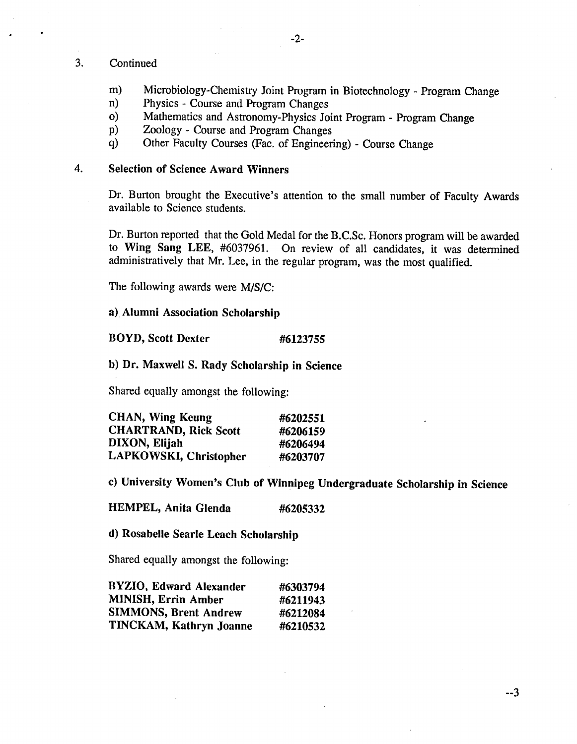### 3. Continued

- $m)$ Microbiology-Chemistry Joint Program in Biotechnology - Program Change
- Physics Course and Program Changes  $n)$
- Mathematics and Astronomy-Physics Joint Program Program Change  $\mathbf{O}$
- Zoology Course and Program Changes  $p)$
- $q)$ Other Faculty Courses (Fac. of Engineering) - Course Change

### **Selection of Science Award Winners**  4.

Dr. Burton brought the Executive's attention to the small number of Faculty Awards available to Science students.

Dr. Burton reported that the Gold Medal for the B.C.Sc. Honors program will be awarded **to Wing Sang LEE,** #6037961. On review of all candidates, it was determined administratively that Mr. Lee, in the regular program, was the most qualified.

The following awards were *MIS/C:* 

# **Alumni Association Scholarship**

### **BOYD, Scott Dexter #6123755**

### **Dr. Maxwell S. Rady Scholarship in Science**

Shared equally amongst the following:

| CHAN, Wing Keung             | #6202551 |
|------------------------------|----------|
| <b>CHARTRAND, Rick Scott</b> | #6206159 |
| DIXON, Elijah                | #6206494 |
| LAPKOWSKI, Christopher       | #6203707 |

**University Women's Club of Winnipeg Undergraduate Scholarship in Science** 

**HEMPEL, Anita Glenda #6205332** 

**Rosabelle Searle Leach Scholarship** 

Shared equally amongst the following:

| BYZIO, Edward Alexander      | #6303794 |
|------------------------------|----------|
| MINISH, Errin Amber          | #6211943 |
| <b>SIMMONS, Brent Andrew</b> | #6212084 |
| TINCKAM, Kathryn Joanne      | #6210532 |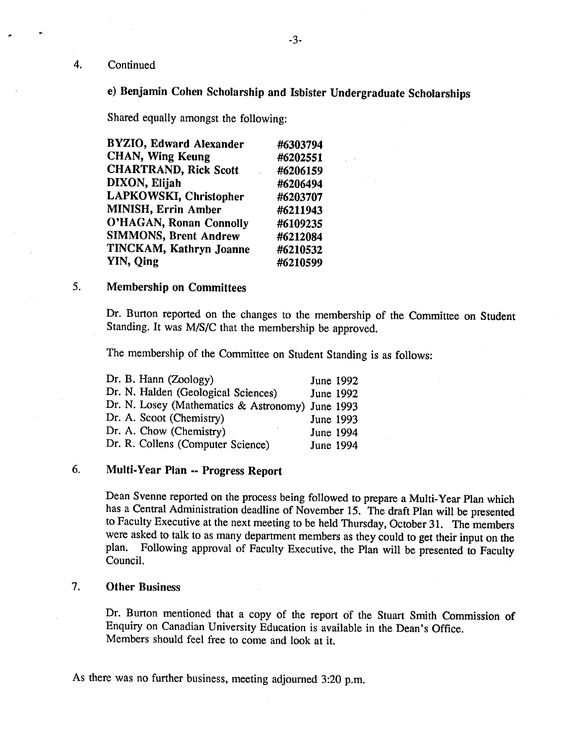### 4. Continued

# **e) Benjamin Cohen Scholarship and Isbister Undergraduate Scholarships**

Shared equally amongst the following:

| <b>BYZIO, Edward Alexander</b> | #6303794 |
|--------------------------------|----------|
| <b>CHAN, Wing Keung</b>        | #6202551 |
| <b>CHARTRAND, Rick Scott</b>   | #6206159 |
| DIXON, Elijah                  | #6206494 |
| LAPKOWSKI, Christopher         | #6203707 |
| <b>MINISH, Errin Amber</b>     | #6211943 |
| <b>O'HAGAN, Ronan Connolly</b> | #6109235 |
| <b>SIMMONS, Brent Andrew</b>   | #6212084 |
| TINCKAM, Kathryn Joanne        | #6210532 |
| YIN, Qing                      | #6210599 |

#### **Membership on Committees**  *5*

Dr. Burton reported on the changes to the membership of the Committee on Student Standing. It was M/S/C that the membership be approved.

The membership of the Committee on Student Standing is as follows:

| Dr. B. Hann (Zoology)                            | June 1992 |  |
|--------------------------------------------------|-----------|--|
| Dr. N. Halden (Geological Sciences)              | June 1992 |  |
| Dr. N. Losey (Mathematics & Astronomy) June 1993 |           |  |
| Dr. A. Scoot (Chemistry)                         | June 1993 |  |
| Dr. A. Chow (Chemistry)                          | June 1994 |  |
| Dr. R. Collens (Computer Science)                | June 1994 |  |
|                                                  |           |  |

### **Multi-Year Plan** -- **Progress Report**   $6.$

Dean Svenne reported on the process being followed to prepare a Multi-Year Plan which has a Central Administration deadline of November *15.* The draft Plan will be presented to Faculty Executive at the next meeting to be held Thursday, October 31. The members were asked to talk to as many department members as they could to get their input on the plan. Following approval of Faculty Executive, the Plan will be presented to Faculty Council.

#### **Other Business**  7.

Dr. Burton mentioned that a copy of the report of the Stuart Smith Commission of Enquiry on Canadian University Education is available in the Dean's Office. Members should feel free to come and look at it.

As there was no further business, meeting adjourned 3:20 p.m.